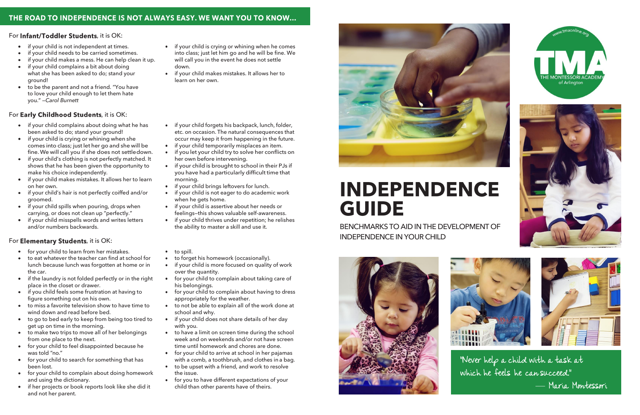## THE ROAD TO INDEPENDENCE IS NOT ALWAYS EASY. WE WANT YOU TO KNOW...

#### For Infant/Toddler Students, it is OK:

- if your child is not independent at times.
- if your child needs to be carried sometimes.
- if your child makes a mess. He can help clean it up.
- if your child complains a bit about doing what she has been asked to do; stand your ground!
- to be the parent and not a friend. "You have to love your child enough to let them hate you." —*Carol Burnett*

### For Early Childhood Students, it is OK:

- if your child complains about doing what he has been asked to do; stand your ground!
- if your child is crying or whining when she comes into class; just let her go and she will be fine.We will call you if she does not settledown.
- if your child's clothing is not perfectly matched. It shows that he has been given the opportunity to make his choice independently.
- if your child makes mistakes. It allows her to learn on her own.
- if your child's hair is not perfectly coiffed and/or groomed.
- if your child spills when pouring, drops when carrying, or does not clean up "perfectly."
- if your child misspells words and writes letters and/or numbers backwards.

#### For Elementary Students, it is OK:

- for your child to learn from her mistakes.
- to eat whatever the teacher can find at school for lunch because lunch was forgotten at home or in the car.
- if the laundry is not folded perfectly or in the right place in the closet or drawer.
- if you child feels some frustration at having to figure something out on his own.
- to miss a favorite television show to have time to wind down and read before bed.
- to go to bed early to keep from being too tired to get up on time in the morning.
- to make two trips to move all of her belongings from one place to the next.
- for your child to feel disappointed because he was told "no."
- for your child to search for something that has been lost.
- for your child to complain about doing homework and using the dictionary.
- if her projects or book reports look like she did it and not her parent.
- if your child is crying or whining when he comes into class; just let him go and he will be fine. We will call you in the event he does not settle down.
- if your child makes mistakes. It allows her to learn on her own.
- if your child forgets his backpack, lunch, folder, etc. on occasion. The natural consequences that occur may keep it from happening in the future.
- if your child temporarily misplaces an item.
- if you let your child try to solve her conflicts on her own before intervening.
- if your child is brought to school in their PJs if you have had a particularly difficult time that morning.
- if your child brings leftovers for lunch.
- if your child is not eager to do academic work when he gets home.
- if your child is assertive about her needs or feelings—this shows valuable self-awareness.
- if your child thrives under repetition; he relishes the ability to master a skill and use it.
- to spill.
- to forget his homework (occasionally).
- if your child is more focused on quality of work  $\bullet$ over the quantity.
- for your child to complain about taking care of his belongings.
- for your child to complain about having to dress appropriately for the weather.
- to not be able to explain all of the work done at school and why.
- if your child does not share details of her day with you.
- to have a limit on screen time during the school week and on weekends and/or not have screen time until homework and chores are done.
- for your child to arrive at school in her pajamas with a comb, a toothbrush, and clothes in a bag.
- to be upset with a friend, and work to resolve the issue.
- for you to have different expectations of your  $\bullet$ child than other parents have of theirs.



# **INDEPENDENCE GUIDE**

BENCHMARKS TO AID IN THE DEVELOPMENT OF INDEPENDENCE IN YOUR CHILD









**"Never help a child with a task at which he feels he can succeed."** — **Maria Montessori**